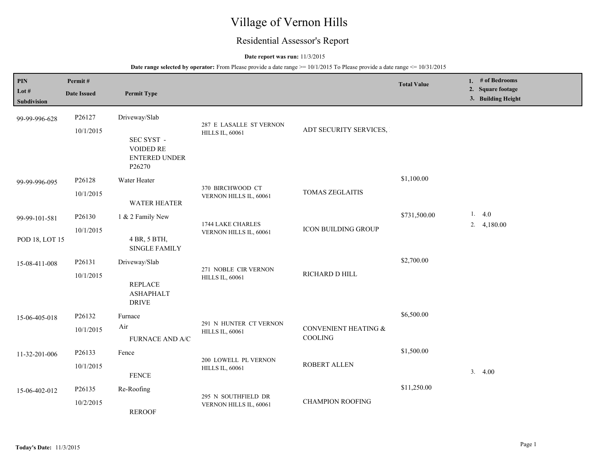# Village of Vernon Hills

## Residential Assessor's Report

### **Date report was run:** 11/3/2015

| PIN<br>Lot #<br>Subdivision     | Permit#<br><b>Date Issued</b> | <b>Permit Type</b>                                                  |                                                   |                                 | <b>Total Value</b> | 1. # of Bedrooms<br>2. Square footage<br>3. Building Height |
|---------------------------------|-------------------------------|---------------------------------------------------------------------|---------------------------------------------------|---------------------------------|--------------------|-------------------------------------------------------------|
| 99-99-996-628                   | P26127<br>10/1/2015           | Driveway/Slab<br>SEC SYST -<br>VOIDED RE<br>ENTERED UNDER<br>P26270 | 287 E LASALLE ST VERNON<br><b>HILLS IL, 60061</b> | ADT SECURITY SERVICES,          |                    |                                                             |
| 99-99-996-095                   | P26128<br>10/1/2015           | Water Heater<br><b>WATER HEATER</b>                                 | 370 BIRCHWOOD CT<br>VERNON HILLS IL, 60061        | <b>TOMAS ZEGLAITIS</b>          | \$1,100.00         |                                                             |
| 99-99-101-581<br>POD 18, LOT 15 | P26130<br>10/1/2015           | 1 & 2 Family New<br>4 BR, 5 BTH,<br><b>SINGLE FAMILY</b>            | 1744 LAKE CHARLES<br>VERNON HILLS IL, 60061       | <b>ICON BUILDING GROUP</b>      | \$731,500.00       | 1.4.0<br>2. $4,180.00$                                      |
| 15-08-411-008                   | P26131<br>10/1/2015           | Driveway/Slab<br><b>REPLACE</b><br><b>ASHAPHALT</b><br><b>DRIVE</b> | 271 NOBLE CIR VERNON<br><b>HILLS IL, 60061</b>    | RICHARD D HILL                  | \$2,700.00         |                                                             |
| 15-06-405-018                   | P26132<br>10/1/2015           | Furnace<br>Air<br><b>FURNACE AND A/C</b>                            | 291 N HUNTER CT VERNON<br><b>HILLS IL, 60061</b>  | CONVENIENT HEATING &<br>COOLING | \$6,500.00         |                                                             |
| 11-32-201-006                   | P26133<br>10/1/2015           | Fence<br><b>FENCE</b>                                               | 200 LOWELL PL VERNON<br><b>HILLS IL, 60061</b>    | ROBERT ALLEN                    | \$1,500.00         | 3.4.00                                                      |
| 15-06-402-012                   | P26135<br>10/2/2015           | Re-Roofing<br><b>REROOF</b>                                         | 295 N SOUTHFIELD DR<br>VERNON HILLS IL, 60061     | <b>CHAMPION ROOFING</b>         | \$11,250.00        |                                                             |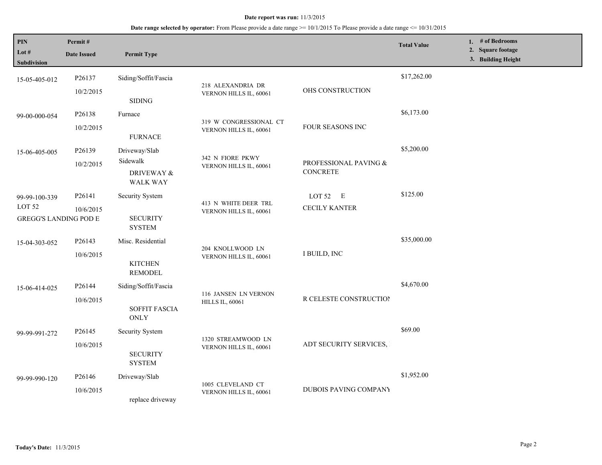## **Date range selected by operator:** From Please provide a date range >= 10/1/2015 To Please provide a date range <= 10/31/2015

| PIN<br>Lot #<br><b>Subdivision</b>                                 | Permit#<br><b>Date Issued</b> | <b>Permit Type</b>                                          |                                                  |                                          | <b>Total Value</b> | 1. # of Bedrooms<br>2. Square footage<br>3. Building Height |
|--------------------------------------------------------------------|-------------------------------|-------------------------------------------------------------|--------------------------------------------------|------------------------------------------|--------------------|-------------------------------------------------------------|
| 15-05-405-012                                                      | P26137<br>10/2/2015           | Siding/Soffit/Fascia<br><b>SIDING</b>                       | 218 ALEXANDRIA DR<br>VERNON HILLS IL, 60061      | OHS CONSTRUCTION                         | \$17,262.00        |                                                             |
| 99-00-000-054                                                      | P26138<br>10/2/2015           | Furnace<br><b>FURNACE</b>                                   | 319 W CONGRESSIONAL CT<br>VERNON HILLS IL, 60061 | FOUR SEASONS INC                         | \$6,173.00         |                                                             |
| 15-06-405-005                                                      | P26139<br>10/2/2015           | Driveway/Slab<br>Sidewalk<br>DRIVEWAY &<br><b>WALK WAY</b>  | 342 N FIORE PKWY<br>VERNON HILLS IL, 60061       | PROFESSIONAL PAVING &<br><b>CONCRETE</b> | \$5,200.00         |                                                             |
| 99-99-100-339<br>LOT <sub>52</sub><br><b>GREGG'S LANDING POD E</b> | P26141<br>10/6/2015           | <b>Security System</b><br><b>SECURITY</b><br><b>SYSTEM</b>  | 413 N WHITE DEER TRL<br>VERNON HILLS IL, 60061   | LOT $52$ E<br><b>CECILY KANTER</b>       | \$125.00           |                                                             |
| 15-04-303-052                                                      | P26143<br>10/6/2015           | Misc. Residential<br><b>KITCHEN</b><br><b>REMODEL</b>       | 204 KNOLLWOOD LN<br>VERNON HILLS IL, 60061       | I BUILD, INC                             | \$35,000.00        |                                                             |
| 15-06-414-025                                                      | P26144<br>10/6/2015           | Siding/Soffit/Fascia<br><b>SOFFIT FASCIA</b><br><b>ONLY</b> | 116 JANSEN LN VERNON<br><b>HILLS IL, 60061</b>   | R CELESTE CONSTRUCTION                   | \$4,670.00         |                                                             |
| 99-99-991-272                                                      | P26145<br>10/6/2015           | Security System<br><b>SECURITY</b><br><b>SYSTEM</b>         | 1320 STREAMWOOD LN<br>VERNON HILLS IL, 60061     | ADT SECURITY SERVICES,                   | \$69.00            |                                                             |
| 99-99-990-120                                                      | P26146<br>10/6/2015           | Driveway/Slab<br>replace driveway                           | 1005 CLEVELAND CT<br>VERNON HILLS IL, 60061      | <b>DUBOIS PAVING COMPANY</b>             | \$1,952.00         |                                                             |

L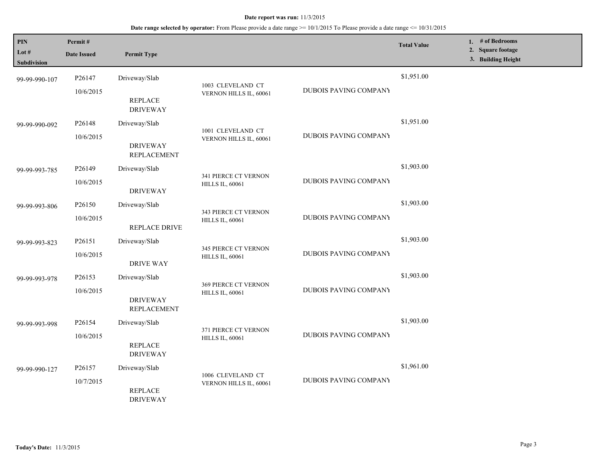| PIN<br>Lot $#$<br>Subdivision | Permit#<br><b>Date Issued</b>   | <b>Permit Type</b>                                     |                                                |                              | <b>Total Value</b> | 1. # of Bedrooms<br>2. Square footage<br>3. Building Height |
|-------------------------------|---------------------------------|--------------------------------------------------------|------------------------------------------------|------------------------------|--------------------|-------------------------------------------------------------|
| 99-99-990-107                 | P26147<br>10/6/2015             | Driveway/Slab<br><b>REPLACE</b><br><b>DRIVEWAY</b>     | 1003 CLEVELAND CT<br>VERNON HILLS IL, 60061    | DUBOIS PAVING COMPANY        | \$1,951.00         |                                                             |
| 99-99-990-092                 | P26148<br>10/6/2015             | Driveway/Slab<br><b>DRIVEWAY</b><br><b>REPLACEMENT</b> | 1001 CLEVELAND CT<br>VERNON HILLS IL, 60061    | <b>DUBOIS PAVING COMPANY</b> | \$1,951.00         |                                                             |
| 99-99-993-785                 | P26149<br>10/6/2015             | Driveway/Slab<br><b>DRIVEWAY</b>                       | 341 PIERCE CT VERNON<br><b>HILLS IL, 60061</b> | <b>DUBOIS PAVING COMPANY</b> | \$1,903.00         |                                                             |
| 99-99-993-806                 | P26150<br>10/6/2015             | Driveway/Slab<br>REPLACE DRIVE                         | 343 PIERCE CT VERNON<br><b>HILLS IL, 60061</b> | <b>DUBOIS PAVING COMPANY</b> | \$1,903.00         |                                                             |
| 99-99-993-823                 | P26151<br>10/6/2015             | Driveway/Slab<br><b>DRIVE WAY</b>                      | 345 PIERCE CT VERNON<br><b>HILLS IL, 60061</b> | <b>DUBOIS PAVING COMPANY</b> | \$1,903.00         |                                                             |
| 99-99-993-978                 | P26153<br>10/6/2015             | Driveway/Slab<br><b>DRIVEWAY</b><br><b>REPLACEMENT</b> | 369 PIERCE CT VERNON<br><b>HILLS IL, 60061</b> | <b>DUBOIS PAVING COMPANY</b> | \$1,903.00         |                                                             |
| 99-99-993-998                 | P <sub>26154</sub><br>10/6/2015 | Driveway/Slab<br><b>REPLACE</b><br><b>DRIVEWAY</b>     | 371 PIERCE CT VERNON<br><b>HILLS IL, 60061</b> | <b>DUBOIS PAVING COMPANY</b> | \$1,903.00         |                                                             |
| 99-99-990-127                 | P <sub>26157</sub><br>10/7/2015 | Driveway/Slab<br><b>REPLACE</b><br><b>DRIVEWAY</b>     | 1006 CLEVELAND CT<br>VERNON HILLS IL, 60061    | <b>DUBOIS PAVING COMPANY</b> | \$1,961.00         |                                                             |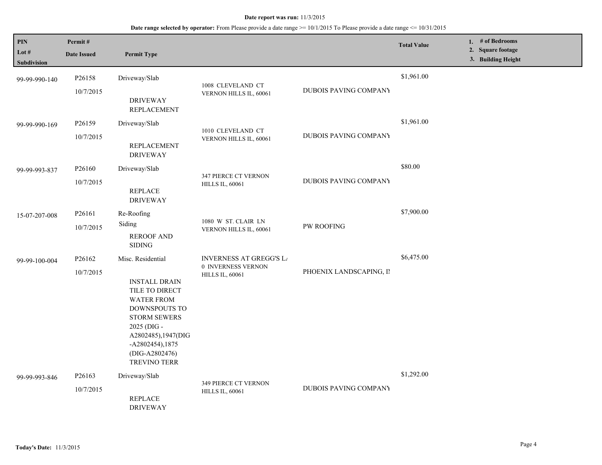| PIN<br>Lot #  | Permit#<br><b>Date Issued</b>   | <b>Permit Type</b>                                                                                                                                                                                     |                                                                                |                              | <b>Total Value</b> | 1. # of Bedrooms<br>2. Square footage<br>3. Building Height |  |
|---------------|---------------------------------|--------------------------------------------------------------------------------------------------------------------------------------------------------------------------------------------------------|--------------------------------------------------------------------------------|------------------------------|--------------------|-------------------------------------------------------------|--|
| Subdivision   |                                 |                                                                                                                                                                                                        |                                                                                |                              |                    |                                                             |  |
| 99-99-990-140 | P26158                          | Driveway/Slab                                                                                                                                                                                          | 1008 CLEVELAND CT                                                              |                              | \$1,961.00         |                                                             |  |
|               | 10/7/2015                       | <b>DRIVEWAY</b><br><b>REPLACEMENT</b>                                                                                                                                                                  | VERNON HILLS IL, 60061                                                         | DUBOIS PAVING COMPANY        |                    |                                                             |  |
| 99-99-990-169 | P <sub>26159</sub>              | Driveway/Slab                                                                                                                                                                                          | 1010 CLEVELAND CT                                                              |                              | \$1,961.00         |                                                             |  |
|               | 10/7/2015                       | <b>REPLACEMENT</b><br><b>DRIVEWAY</b>                                                                                                                                                                  | VERNON HILLS IL, 60061                                                         | <b>DUBOIS PAVING COMPANY</b> |                    |                                                             |  |
| 99-99-993-837 | P <sub>26160</sub>              | Driveway/Slab                                                                                                                                                                                          | 347 PIERCE CT VERNON<br><b>HILLS IL, 60061</b>                                 |                              | \$80.00            |                                                             |  |
|               | 10/7/2015                       | <b>REPLACE</b><br><b>DRIVEWAY</b>                                                                                                                                                                      |                                                                                | <b>DUBOIS PAVING COMPANY</b> |                    |                                                             |  |
| 15-07-207-008 | P26161                          | Re-Roofing                                                                                                                                                                                             |                                                                                |                              | \$7,900.00         |                                                             |  |
|               | 10/7/2015                       | Siding<br><b>REROOF AND</b><br><b>SIDING</b>                                                                                                                                                           | 1080 W ST. CLAIR LN<br>VERNON HILLS IL, 60061                                  | <b>PW ROOFING</b>            |                    |                                                             |  |
| 99-99-100-004 | P <sub>26162</sub><br>10/7/2015 | Misc. Residential                                                                                                                                                                                      | <b>INVERNESS AT GREGG'S LA</b><br>0 INVERNESS VERNON<br><b>HILLS IL, 60061</b> | PHOENIX LANDSCAPING, II      | \$6,475.00         |                                                             |  |
|               |                                 | <b>INSTALL DRAIN</b><br>TILE TO DIRECT<br><b>WATER FROM</b><br>DOWNSPOUTS TO<br><b>STORM SEWERS</b><br>2025 (DIG -<br>A2802485), 1947(DIG<br>-A2802454), 1875<br>(DIG-A2802476)<br><b>TREVINO TERR</b> |                                                                                |                              |                    |                                                             |  |
| 99-99-993-846 | P26163                          | Driveway/Slab                                                                                                                                                                                          | 349 PIERCE CT VERNON                                                           |                              | \$1,292.00         |                                                             |  |
|               | 10/7/2015                       | <b>REPLACE</b><br><b>DRIVEWAY</b>                                                                                                                                                                      | <b>HILLS IL, 60061</b>                                                         | <b>DUBOIS PAVING COMPANY</b> |                    |                                                             |  |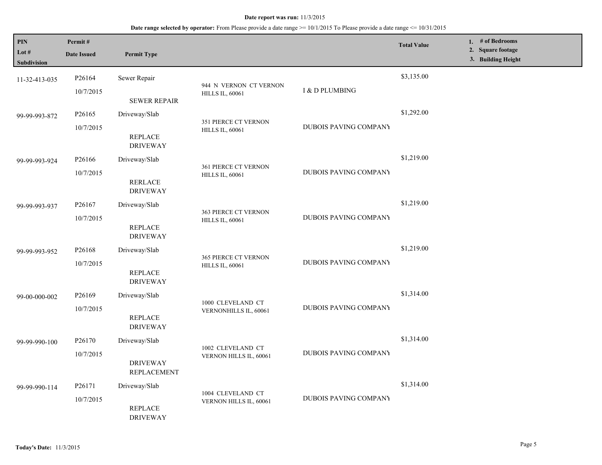| PIN<br>Lot #<br>Subdivision | Permit#<br><b>Date Issued</b>   | <b>Permit Type</b>                                     |                                                       |                       | <b>Total Value</b> | 1. # of Bedrooms<br>2. Square footage<br>3. Building Height |
|-----------------------------|---------------------------------|--------------------------------------------------------|-------------------------------------------------------|-----------------------|--------------------|-------------------------------------------------------------|
| 11-32-413-035               | P26164<br>10/7/2015             | Sewer Repair<br><b>SEWER REPAIR</b>                    | 944 N VERNON CT VERNON<br><b>HILLS IL, 60061</b>      | I & D PLUMBING        | \$3,135.00         |                                                             |
| 99-99-993-872               | P26165<br>10/7/2015             | Driveway/Slab<br><b>REPLACE</b><br><b>DRIVEWAY</b>     | 351 PIERCE CT VERNON<br><b>HILLS IL, 60061</b>        | DUBOIS PAVING COMPANY | \$1,292.00         |                                                             |
| 99-99-993-924               | P26166<br>10/7/2015             | Driveway/Slab<br><b>RERLACE</b><br><b>DRIVEWAY</b>     | <b>361 PIERCE CT VERNON</b><br><b>HILLS IL, 60061</b> | DUBOIS PAVING COMPANY | \$1,219.00         |                                                             |
| 99-99-993-937               | P26167<br>10/7/2015             | Driveway/Slab<br><b>REPLACE</b><br><b>DRIVEWAY</b>     | <b>363 PIERCE CT VERNON</b><br><b>HILLS IL, 60061</b> | DUBOIS PAVING COMPANY | \$1,219.00         |                                                             |
| 99-99-993-952               | P <sub>26168</sub><br>10/7/2015 | Driveway/Slab<br><b>REPLACE</b><br><b>DRIVEWAY</b>     | 365 PIERCE CT VERNON<br><b>HILLS IL, 60061</b>        | DUBOIS PAVING COMPANY | \$1,219.00         |                                                             |
| 99-00-000-002               | P26169<br>10/7/2015             | Driveway/Slab<br><b>REPLACE</b><br><b>DRIVEWAY</b>     | 1000 CLEVELAND CT<br>VERNONHILLS IL, 60061            | DUBOIS PAVING COMPANY | \$1,314.00         |                                                             |
| 99-99-990-100               | P26170<br>10/7/2015             | Driveway/Slab<br><b>DRIVEWAY</b><br><b>REPLACEMENT</b> | 1002 CLEVELAND CT<br>VERNON HILLS IL, 60061           | DUBOIS PAVING COMPANY | \$1,314.00         |                                                             |
| 99-99-990-114               | P26171<br>10/7/2015             | Driveway/Slab<br><b>REPLACE</b><br><b>DRIVEWAY</b>     | 1004 CLEVELAND CT<br>VERNON HILLS IL, 60061           | DUBOIS PAVING COMPANY | \$1,314.00         |                                                             |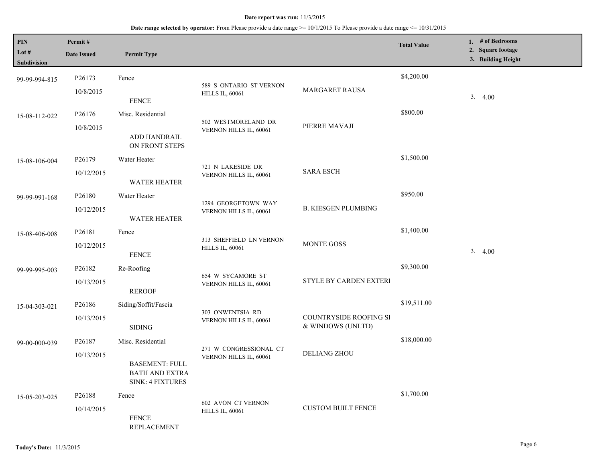| PIN<br>Lot $#$<br><b>Subdivision</b> | Permit#<br><b>Date Issued</b> | <b>Permit Type</b>                                                                      |                                                     |                                             | <b>Total Value</b> | 1. # of Bedrooms<br>2. Square footage<br>3. Building Height |
|--------------------------------------|-------------------------------|-----------------------------------------------------------------------------------------|-----------------------------------------------------|---------------------------------------------|--------------------|-------------------------------------------------------------|
| 99-99-994-815                        | P26173<br>10/8/2015           | Fence<br><b>FENCE</b>                                                                   | 589 S ONTARIO ST VERNON<br><b>HILLS IL, 60061</b>   | MARGARET RAUSA                              | \$4,200.00         | 3.4.00                                                      |
| 15-08-112-022                        | P26176<br>10/8/2015           | Misc. Residential<br>ADD HANDRAIL<br>ON FRONT STEPS                                     | 502 WESTMORELAND DR<br>VERNON HILLS IL, 60061       | PIERRE MAVAJI                               | \$800.00           |                                                             |
| 15-08-106-004                        | P26179<br>10/12/2015          | Water Heater<br><b>WATER HEATER</b>                                                     | 721 N LAKESIDE DR<br>VERNON HILLS IL, 60061         | <b>SARA ESCH</b>                            | \$1,500.00         |                                                             |
| 99-99-991-168                        | P26180<br>10/12/2015          | Water Heater<br><b>WATER HEATER</b>                                                     | 1294 GEORGETOWN WAY<br>VERNON HILLS IL, 60061       | <b>B. KIESGEN PLUMBING</b>                  | \$950.00           |                                                             |
| 15-08-406-008                        | P26181<br>10/12/2015          | Fence<br><b>FENCE</b>                                                                   | 313 SHEFFIELD LN VERNON<br><b>HILLS IL, 60061</b>   | MONTE GOSS                                  | \$1,400.00         | 3.4.00                                                      |
| 99-99-995-003                        | P26182<br>10/13/2015          | Re-Roofing<br><b>REROOF</b>                                                             | 654 W SYCAMORE ST<br>VERNON HILLS IL, 60061         | STYLE BY CARDEN EXTERI                      | \$9,300.00         |                                                             |
| 15-04-303-021                        | P26186<br>10/13/2015          | Siding/Soffit/Fascia<br><b>SIDING</b>                                                   | 303 ONWENTSIA RD<br>VERNON HILLS IL, 60061          | COUNTRYSIDE ROOFING SI<br>& WINDOWS (UNLTD) | \$19,511.00        |                                                             |
| 99-00-000-039                        | P26187<br>10/13/2015          | Misc. Residential<br><b>BASEMENT: FULL</b><br><b>BATH AND EXTRA</b><br>SINK: 4 FIXTURES | 271 W CONGRESSIONAL CT<br>VERNON HILLS IL, 60061    | <b>DELIANG ZHOU</b>                         | \$18,000.00        |                                                             |
| 15-05-203-025                        | P26188<br>10/14/2015          | Fence<br><b>FENCE</b><br><b>REPLACEMENT</b>                                             | <b>602 AVON CT VERNON</b><br><b>HILLS IL, 60061</b> | <b>CUSTOM BUILT FENCE</b>                   | \$1,700.00         |                                                             |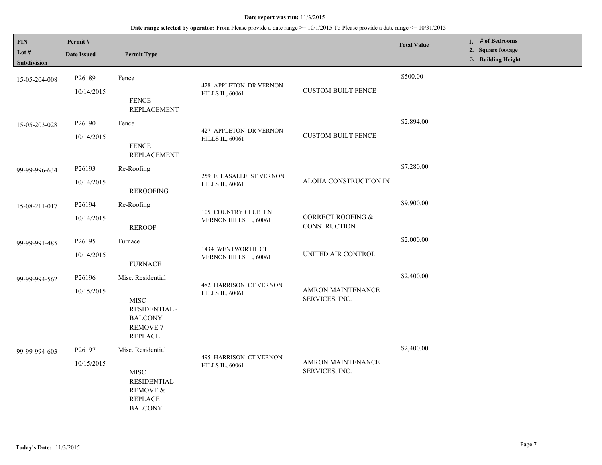| PIN<br>Lot #<br>Subdivision | Permit#<br><b>Date Issued</b>    | <b>Permit Type</b>                                                                                       |                                                         |                                            | <b>Total Value</b> | 1. # of Bedrooms<br>2. Square footage<br>3. Building Height |
|-----------------------------|----------------------------------|----------------------------------------------------------------------------------------------------------|---------------------------------------------------------|--------------------------------------------|--------------------|-------------------------------------------------------------|
| 15-05-204-008               | P <sub>26189</sub><br>10/14/2015 | Fence<br><b>FENCE</b><br><b>REPLACEMENT</b>                                                              | 428 APPLETON DR VERNON<br><b>HILLS IL, 60061</b>        | <b>CUSTOM BUILT FENCE</b>                  | \$500.00           |                                                             |
| 15-05-203-028               | P <sub>26190</sub><br>10/14/2015 | Fence<br><b>FENCE</b><br><b>REPLACEMENT</b>                                                              | 427 APPLETON DR VERNON<br><b>HILLS IL, 60061</b>        | <b>CUSTOM BUILT FENCE</b>                  | \$2,894.00         |                                                             |
| 99-99-996-634               | P26193<br>10/14/2015             | Re-Roofing<br><b>REROOFING</b>                                                                           | 259 E LASALLE ST VERNON<br><b>HILLS IL, 60061</b>       | ALOHA CONSTRUCTION IN                      | \$7,280.00         |                                                             |
| 15-08-211-017               | P26194<br>10/14/2015             | Re-Roofing<br><b>REROOF</b>                                                                              | 105 COUNTRY CLUB LN<br>VERNON HILLS IL, 60061           | CORRECT ROOFING &<br>CONSTRUCTION          | \$9,900.00         |                                                             |
| 99-99-991-485               | P26195<br>10/14/2015             | Furnace<br><b>FURNACE</b>                                                                                | 1434 WENTWORTH CT<br>VERNON HILLS IL, 60061             | UNITED AIR CONTROL                         | \$2,000.00         |                                                             |
| 99-99-994-562               | P26196<br>10/15/2015             | Misc. Residential<br><b>MISC</b><br>RESIDENTIAL -<br><b>BALCONY</b><br><b>REMOVE 7</b><br><b>REPLACE</b> | <b>482 HARRISON CT VERNON</b><br><b>HILLS IL, 60061</b> | <b>AMRON MAINTENANCE</b><br>SERVICES, INC. | \$2,400.00         |                                                             |
| 99-99-994-603               | P26197<br>10/15/2015             | Misc. Residential<br><b>MISC</b><br>RESIDENTIAL -<br>REMOVE &<br><b>REPLACE</b><br><b>BALCONY</b>        | 495 HARRISON CT VERNON<br><b>HILLS IL, 60061</b>        | AMRON MAINTENANCE<br>SERVICES, INC.        | \$2,400.00         |                                                             |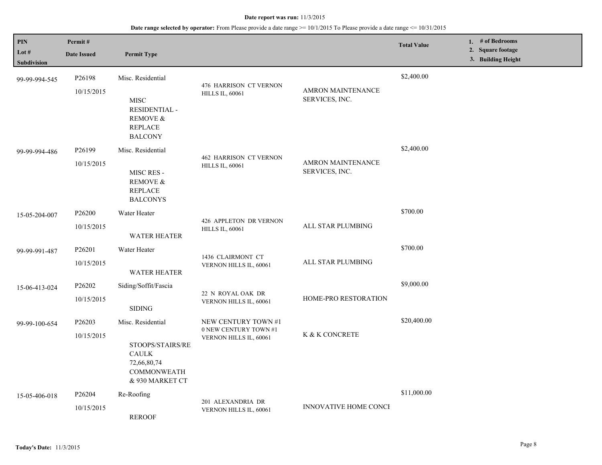| <b>PIN</b><br>Lot #<br>Subdivision | Permit#<br><b>Date Issued</b>    | <b>Permit Type</b>                                                                                            |                                                                        |                                            | <b>Total Value</b> | 1. # of Bedrooms<br>2. Square footage<br>3. Building Height |
|------------------------------------|----------------------------------|---------------------------------------------------------------------------------------------------------------|------------------------------------------------------------------------|--------------------------------------------|--------------------|-------------------------------------------------------------|
| 99-99-994-545                      | P26198<br>10/15/2015             | Misc. Residential<br><b>MISC</b><br><b>RESIDENTIAL -</b><br><b>REMOVE &amp;</b><br><b>REPLACE</b>             | 476 HARRISON CT VERNON<br><b>HILLS IL, 60061</b>                       | <b>AMRON MAINTENANCE</b><br>SERVICES, INC. | \$2,400.00         |                                                             |
| 99-99-994-486                      | P <sub>26199</sub><br>10/15/2015 | <b>BALCONY</b><br>Misc. Residential<br>MISC RES -<br><b>REMOVE &amp;</b><br><b>REPLACE</b><br><b>BALCONYS</b> | <b>462 HARRISON CT VERNON</b><br><b>HILLS IL, 60061</b>                | <b>AMRON MAINTENANCE</b><br>SERVICES, INC. | \$2,400.00         |                                                             |
| 15-05-204-007                      | P26200<br>10/15/2015             | Water Heater<br><b>WATER HEATER</b>                                                                           | 426 APPLETON DR VERNON<br><b>HILLS IL, 60061</b>                       | ALL STAR PLUMBING                          | \$700.00           |                                                             |
| 99-99-991-487                      | P26201<br>10/15/2015             | Water Heater<br><b>WATER HEATER</b>                                                                           | 1436 CLAIRMONT CT<br>VERNON HILLS IL, 60061                            | ALL STAR PLUMBING                          | \$700.00           |                                                             |
| 15-06-413-024                      | P26202<br>10/15/2015             | Siding/Soffit/Fascia<br><b>SIDING</b>                                                                         | 22 N ROYAL OAK DR<br>VERNON HILLS IL, 60061                            | HOME-PRO RESTORATION                       | \$9,000.00         |                                                             |
| 99-99-100-654                      | P26203<br>10/15/2015             | Misc. Residential<br>STOOPS/STAIRS/RE<br><b>CAULK</b><br>72,66,80,74<br><b>COMMONWEATH</b><br>& 930 MARKET CT | NEW CENTURY TOWN #1<br>0 NEW CENTURY TOWN #1<br>VERNON HILLS IL, 60061 | K & K CONCRETE                             | \$20,400.00        |                                                             |
| 15-05-406-018                      | P26204<br>10/15/2015             | Re-Roofing<br><b>REROOF</b>                                                                                   | 201 ALEXANDRIA DR<br>VERNON HILLS IL, 60061                            | <b>INNOVATIVE HOME CONCI</b>               | \$11,000.00        |                                                             |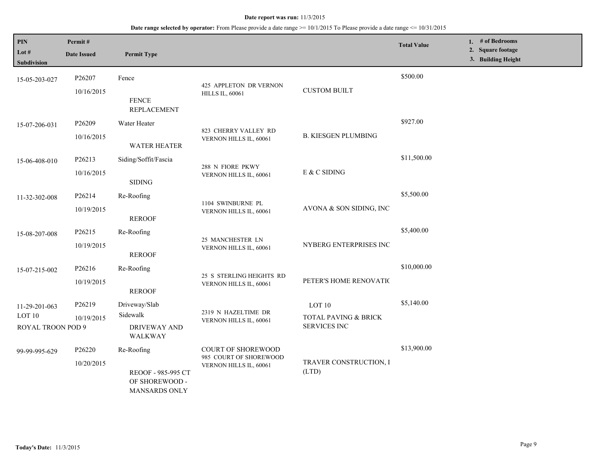| PIN<br>Lot #<br><b>Subdivision</b>                      | Permit#<br><b>Date Issued</b> | <b>Permit Type</b>                                                  |                                                                               |                                                       | <b>Total Value</b> | 1. # of Bedrooms<br>2. Square footage<br>3. Building Height |
|---------------------------------------------------------|-------------------------------|---------------------------------------------------------------------|-------------------------------------------------------------------------------|-------------------------------------------------------|--------------------|-------------------------------------------------------------|
| 15-05-203-027                                           | P26207<br>10/16/2015          | Fence<br><b>FENCE</b><br><b>REPLACEMENT</b>                         | 425 APPLETON DR VERNON<br><b>HILLS IL, 60061</b>                              | <b>CUSTOM BUILT</b>                                   | \$500.00           |                                                             |
| 15-07-206-031                                           | P26209<br>10/16/2015          | Water Heater<br><b>WATER HEATER</b>                                 | 823 CHERRY VALLEY RD<br>VERNON HILLS IL, 60061                                | <b>B. KIESGEN PLUMBING</b>                            | \$927.00           |                                                             |
| 15-06-408-010                                           | P26213<br>10/16/2015          | Siding/Soffit/Fascia<br><b>SIDING</b>                               | 288 N FIORE PKWY<br>VERNON HILLS IL, 60061                                    | E & C SIDING                                          | \$11,500.00        |                                                             |
| 11-32-302-008                                           | P26214<br>10/19/2015          | Re-Roofing<br><b>REROOF</b>                                         | 1104 SWINBURNE PL<br>VERNON HILLS IL, 60061                                   | AVONA & SON SIDING, INC                               | \$5,500.00         |                                                             |
| 15-08-207-008                                           | P26215<br>10/19/2015          | Re-Roofing<br><b>REROOF</b>                                         | 25 MANCHESTER LN<br>VERNON HILLS IL, 60061                                    | NYBERG ENTERPRISES INC                                | \$5,400.00         |                                                             |
| 15-07-215-002                                           | P26216<br>10/19/2015          | Re-Roofing<br><b>REROOF</b>                                         | 25 S STERLING HEIGHTS RD<br>VERNON HILLS IL, 60061                            | PETER'S HOME RENOVATIC                                | \$10,000.00        |                                                             |
| 11-29-201-063<br>LOT <sub>10</sub><br>ROYAL TROON POD 9 | P26219<br>10/19/2015          | Driveway/Slab<br>Sidewalk<br><b>DRIVEWAY AND</b><br>WALKWAY         | 2319 N HAZELTIME DR<br>VERNON HILLS IL, 60061                                 | LOT 10<br>TOTAL PAVING & BRICK<br><b>SERVICES INC</b> | \$5,140.00         |                                                             |
| 99-99-995-629                                           | P26220<br>10/20/2015          | Re-Roofing<br>REOOF - 985-995 CT<br>OF SHOREWOOD -<br>MANSARDS ONLY | <b>COURT OF SHOREWOOD</b><br>985 COURT OF SHOREWOOD<br>VERNON HILLS IL, 60061 | TRAVER CONSTRUCTION, I<br>(LTD)                       | \$13,900.00        |                                                             |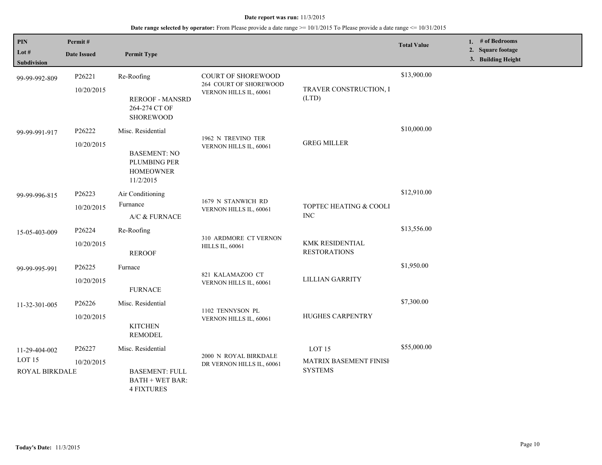| PIN<br>Lot #<br><b>Subdivision</b>                   | Permit#<br><b>Date Issued</b> | <b>Permit Type</b>                                                                        |                                                                               |                                                               | <b>Total Value</b> | 1. # of Bedrooms<br>2. Square footage<br>3. Building Height |
|------------------------------------------------------|-------------------------------|-------------------------------------------------------------------------------------------|-------------------------------------------------------------------------------|---------------------------------------------------------------|--------------------|-------------------------------------------------------------|
| 99-99-992-809                                        | P26221<br>10/20/2015          | Re-Roofing<br><b>REROOF - MANSRD</b><br>264-274 CT OF<br><b>SHOREWOOD</b>                 | <b>COURT OF SHOREWOOD</b><br>264 COURT OF SHOREWOOD<br>VERNON HILLS IL, 60061 | TRAVER CONSTRUCTION, I<br>(LTD)                               | \$13,900.00        |                                                             |
| 99-99-991-917                                        | P26222<br>10/20/2015          | Misc. Residential<br><b>BASEMENT: NO</b><br>PLUMBING PER<br><b>HOMEOWNER</b><br>11/2/2015 | 1962 N TREVINO TER<br>VERNON HILLS IL, 60061                                  | <b>GREG MILLER</b>                                            | \$10,000.00        |                                                             |
| 99-99-996-815                                        | P26223<br>10/20/2015          | Air Conditioning<br>Furnance<br>A/C & FURNACE                                             | 1679 N STANWICH RD<br>VERNON HILLS IL, 60061                                  | TOPTEC HEATING & COOLI<br><b>INC</b>                          | \$12,910.00        |                                                             |
| 15-05-403-009                                        | P26224<br>10/20/2015          | Re-Roofing<br><b>REROOF</b>                                                               | 310 ARDMORE CT VERNON<br><b>HILLS IL, 60061</b>                               | KMK RESIDENTIAL<br><b>RESTORATIONS</b>                        | \$13,556.00        |                                                             |
| 99-99-995-991                                        | P26225<br>10/20/2015          | Furnace<br><b>FURNACE</b>                                                                 | 821 KALAMAZOO CT<br>VERNON HILLS IL, 60061                                    | <b>LILLIAN GARRITY</b>                                        | \$1,950.00         |                                                             |
| 11-32-301-005                                        | P26226<br>10/20/2015          | Misc. Residential<br><b>KITCHEN</b><br><b>REMODEL</b>                                     | 1102 TENNYSON PL<br>VERNON HILLS IL, 60061                                    | HUGHES CARPENTRY                                              | \$7,300.00         |                                                             |
| 11-29-404-002<br>LOT <sub>15</sub><br>ROYAL BIRKDALE | P26227<br>10/20/2015          | Misc. Residential<br><b>BASEMENT: FULL</b><br><b>BATH + WET BAR:</b><br><b>4 FIXTURES</b> | 2000 N ROYAL BIRKDALE<br>DR VERNON HILLS IL, 60061                            | LOT <sub>15</sub><br>MATRIX BASEMENT FINISH<br><b>SYSTEMS</b> | \$55,000.00        |                                                             |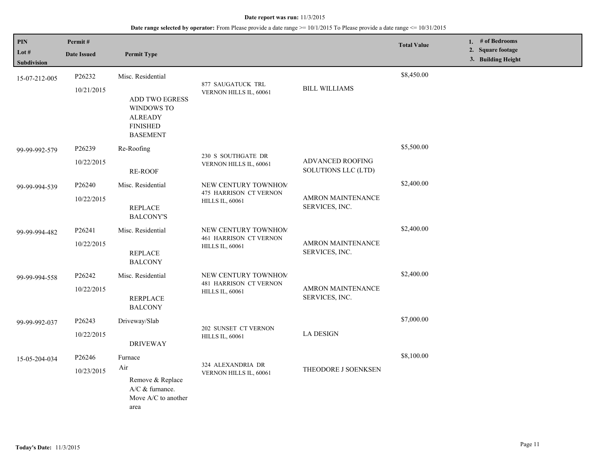| PIN<br>Lot #<br><b>Subdivision</b> | Permit#<br><b>Date Issued</b> | <b>Permit Type</b>                                                                                               |                                                                         |                                            | <b>Total Value</b> | 1. # of Bedrooms<br>2. Square footage<br>3. Building Height |
|------------------------------------|-------------------------------|------------------------------------------------------------------------------------------------------------------|-------------------------------------------------------------------------|--------------------------------------------|--------------------|-------------------------------------------------------------|
| 15-07-212-005                      | P26232<br>10/21/2015          | Misc. Residential<br>ADD TWO EGRESS<br><b>WINDOWS TO</b><br><b>ALREADY</b><br><b>FINISHED</b><br><b>BASEMENT</b> | 877 SAUGATUCK TRL<br>VERNON HILLS IL, 60061                             | <b>BILL WILLIAMS</b>                       | \$8,450.00         |                                                             |
| 99-99-992-579                      | P26239<br>10/22/2015          | Re-Roofing<br>RE-ROOF                                                                                            | 230 S SOUTHGATE DR<br>VERNON HILLS IL, 60061                            | ADVANCED ROOFING<br>SOLUTIONS LLC (LTD)    | \$5,500.00         |                                                             |
| 99-99-994-539                      | P26240<br>10/22/2015          | Misc. Residential<br><b>REPLACE</b><br><b>BALCONY'S</b>                                                          | NEW CENTURY TOWNHOM<br>475 HARRISON CT VERNON<br><b>HILLS IL, 60061</b> | <b>AMRON MAINTENANCE</b><br>SERVICES, INC. | \$2,400.00         |                                                             |
| 99-99-994-482                      | P26241<br>10/22/2015          | Misc. Residential<br><b>REPLACE</b><br><b>BALCONY</b>                                                            | NEW CENTURY TOWNHOM<br>461 HARRISON CT VERNON<br><b>HILLS IL, 60061</b> | <b>AMRON MAINTENANCE</b><br>SERVICES, INC. | \$2,400.00         |                                                             |
| 99-99-994-558                      | P26242<br>10/22/2015          | Misc. Residential<br><b>RERPLACE</b><br><b>BALCONY</b>                                                           | NEW CENTURY TOWNHOM<br>481 HARRISON CT VERNON<br><b>HILLS IL, 60061</b> | <b>AMRON MAINTENANCE</b><br>SERVICES, INC. | \$2,400.00         |                                                             |
| 99-99-992-037                      | P26243<br>10/22/2015          | Driveway/Slab<br><b>DRIVEWAY</b>                                                                                 | 202 SUNSET CT VERNON<br><b>HILLS IL, 60061</b>                          | <b>LA DESIGN</b>                           | \$7,000.00         |                                                             |
| 15-05-204-034                      | P26246<br>10/23/2015          | Furnace<br>Air<br>Remove & Replace<br>A/C & furnance.<br>Move A/C to another<br>area                             | 324 ALEXANDRIA DR<br>VERNON HILLS IL, 60061                             | THEODORE J SOENKSEN                        | \$8,100.00         |                                                             |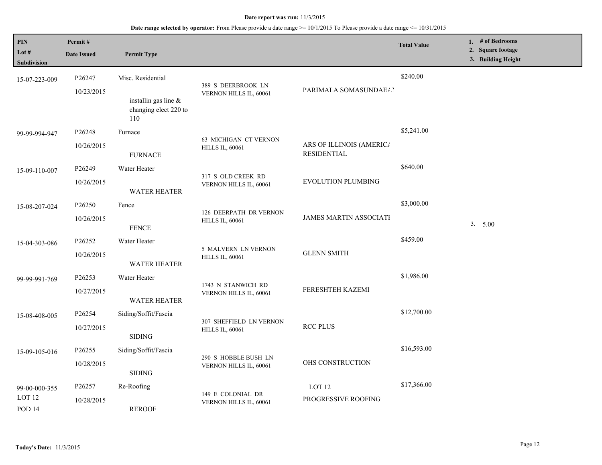| <b>PIN</b><br>Lot #<br>Subdivision                      | Permit#<br><b>Date Issued</b>    | <b>Permit Type</b>                                                           |                                                   |                                                | <b>Total Value</b> | 1. # of Bedrooms<br>2. Square footage<br>3. Building Height |
|---------------------------------------------------------|----------------------------------|------------------------------------------------------------------------------|---------------------------------------------------|------------------------------------------------|--------------------|-------------------------------------------------------------|
| 15-07-223-009                                           | P26247<br>10/23/2015             | Misc. Residential<br>installin gas line $\&$<br>changing elect 220 to<br>110 | 389 S DEERBROOK LN<br>VERNON HILLS IL, 60061      | PARIMALA SOMASUNDAEAI                          | \$240.00           |                                                             |
| 99-99-994-947                                           | P26248<br>10/26/2015             | Furnace<br><b>FURNACE</b>                                                    | 63 MICHIGAN CT VERNON<br><b>HILLS IL, 60061</b>   | ARS OF ILLINOIS (AMERICA<br><b>RESIDENTIAL</b> | \$5,241.00         |                                                             |
| 15-09-110-007                                           | P26249<br>10/26/2015             | Water Heater<br><b>WATER HEATER</b>                                          | 317 S OLD CREEK RD<br>VERNON HILLS IL, 60061      | <b>EVOLUTION PLUMBING</b>                      | \$640.00           |                                                             |
| 15-08-207-024                                           | P <sub>26250</sub><br>10/26/2015 | Fence<br><b>FENCE</b>                                                        | 126 DEERPATH DR VERNON<br><b>HILLS IL, 60061</b>  | <b>JAMES MARTIN ASSOCIATI</b>                  | \$3,000.00         | 3. 5.00                                                     |
| 15-04-303-086                                           | P <sub>26252</sub><br>10/26/2015 | Water Heater<br><b>WATER HEATER</b>                                          | 5 MALVERN LN VERNON<br><b>HILLS IL, 60061</b>     | <b>GLENN SMITH</b>                             | \$459.00           |                                                             |
| 99-99-991-769                                           | P26253<br>10/27/2015             | Water Heater<br><b>WATER HEATER</b>                                          | 1743 N STANWICH RD<br>VERNON HILLS IL, 60061      | FERESHTEH KAZEMI                               | \$1,986.00         |                                                             |
| 15-08-408-005                                           | P26254<br>10/27/2015             | Siding/Soffit/Fascia<br><b>SIDING</b>                                        | 307 SHEFFIELD LN VERNON<br><b>HILLS IL, 60061</b> | <b>RCC PLUS</b>                                | \$12,700.00        |                                                             |
| 15-09-105-016                                           | P <sub>26255</sub><br>10/28/2015 | Siding/Soffit/Fascia<br><b>SIDING</b>                                        | 290 S HOBBLE BUSH LN<br>VERNON HILLS IL, 60061    | OHS CONSTRUCTION                               | \$16,593.00        |                                                             |
| 99-00-000-355<br>LOT <sub>12</sub><br>POD <sub>14</sub> | P26257<br>10/28/2015             | Re-Roofing<br><b>REROOF</b>                                                  | 149 E COLONIAL DR<br>VERNON HILLS IL, 60061       | LOT <sub>12</sub><br>PROGRESSIVE ROOFING       | \$17,366.00        |                                                             |